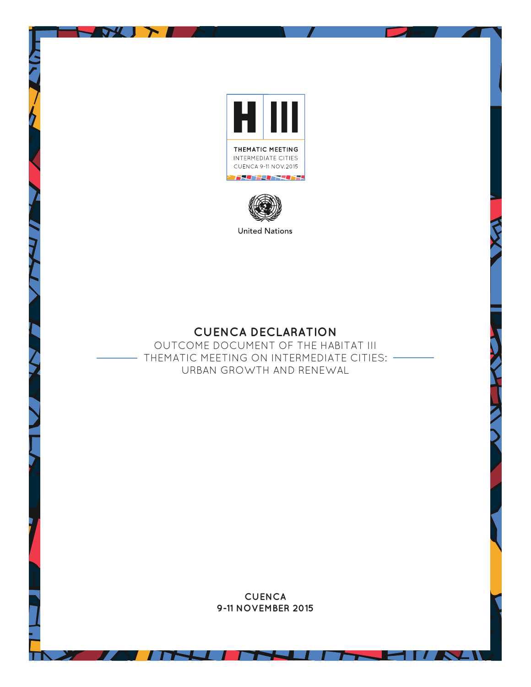

DV 1

 $\blacktriangleright$ 



**United Nations** 

## **CUENCA DECLARATION**

OUTCOME DOCUMENT OF THE HABITAT III THEMATIC MEETING ON INTERMEDIATE CITIES: URBAN GROWTH AND RENEWAL

> **CUENCA 9-11 NOVEMBER 2015**

> > W

The contract of the contract of the contract of the contract of the contract of the contract of the contract o

z

 $\mathbf{z}$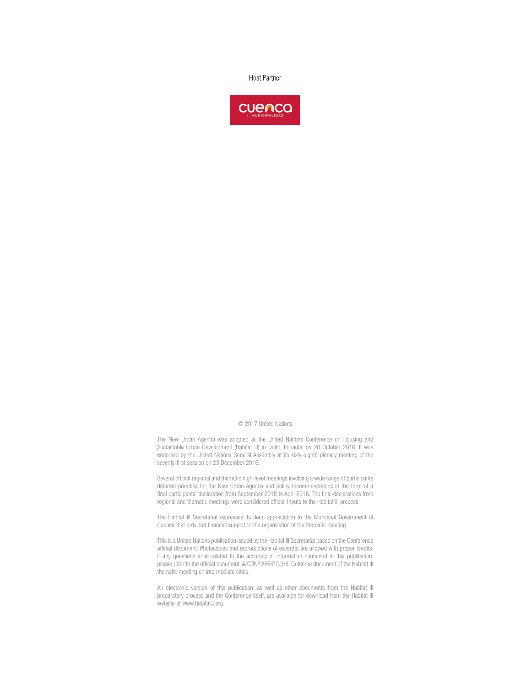**Host Partner** 



## © 2017 United Nations

The New Urban Agenda was adopted at the United Nations Conference on Housing and Sustainable Urban Development (Habitat III) in Quito, Ecuador, on 20 October 2016. It was endorsed by the United Nations General Assembly at its sixty-eighth plenary meeting of the seventy-first session on 23 December 2016.

Several official regional and thematic high-level meetings involving a wide range of participants debated priorities for the New Urban Agenda and policy recommendations in the form of a final participants' declaration from September 2015 to April 2016. The final declarations from regional and thematic meetings were considered official inputs to the Habitat III process.

The Habitat III Secretariat expresses its deep appreciation to the Municipal Government of Cuenca that provided financial support to the organization of the thematic meeting.

This is a United Nations publication issued by the Habitat III Secretariat based on the Conference official document. Photocopies and reproductions of excerpts are allowed with proper credits. If any questions arise related to the accuracy of information contained in this publication, please refer to the official document, A/CONF.226/PC.3/6, Outcome document of the Habitat III thematic meeting on intermediate cities.

An electronic version of this publication, as well as other documents from the Habitat III preparatory process and the Conference itself, are available for download from the Habitat III website at www.habitat3.org.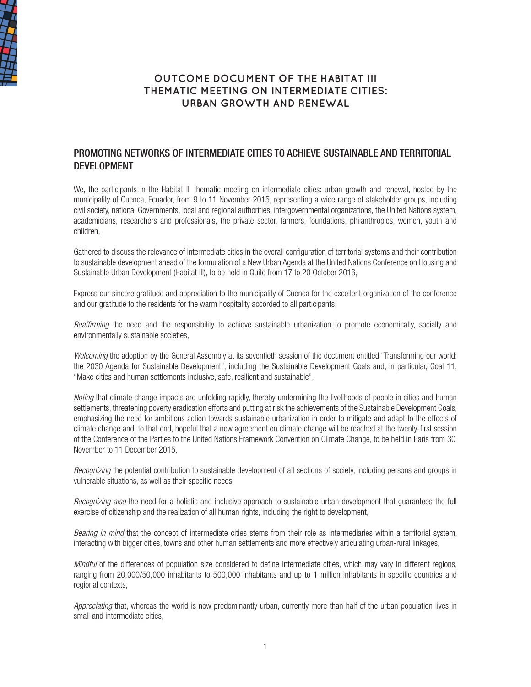

## **OUTCOME DOCUMENT OF THE HABITAT III THEMATIC MEETING ON INTERMEDIATE CITIES: URBAN GROWTH AND RENEWAL**

## PROMOTING NETWORKS OF INTERMEDIATE CITIES TO ACHIEVE SUSTAINABLE AND TERRITORIAL DEVELOPMENT

We, the participants in the Habitat III thematic meeting on intermediate cities: urban growth and renewal, hosted by the municipality of Cuenca, Ecuador, from 9 to 11 November 2015, representing a wide range of stakeholder groups, including civil society, national Governments, local and regional authorities, intergovernmental organizations, the United Nations system, academicians, researchers and professionals, the private sector, farmers, foundations, philanthropies, women, youth and children,

Gathered to discuss the relevance of intermediate cities in the overall configuration of territorial systems and their contribution to sustainable development ahead of the formulation of a New Urban Agenda at the United Nations Conference on Housing and Sustainable Urban Development (Habitat III), to be held in Quito from 17 to 20 October 2016,

Express our sincere gratitude and appreciation to the municipality of Cuenca for the excellent organization of the conference and our gratitude to the residents for the warm hospitality accorded to all participants,

*Reaffirming* the need and the responsibility to achieve sustainable urbanization to promote economically, socially and environmentally sustainable societies,

*Welcoming* the adoption by the General Assembly at its seventieth session of the document entitled "Transforming our world: the 2030 Agenda for Sustainable Development", including the Sustainable Development Goals and, in particular, Goal 11, "Make cities and human settlements inclusive, safe, resilient and sustainable",

*Noting* that climate change impacts are unfolding rapidly, thereby undermining the livelihoods of people in cities and human settlements, threatening poverty eradication efforts and putting at risk the achievements of the Sustainable Development Goals, emphasizing the need for ambitious action towards sustainable urbanization in order to mitigate and adapt to the effects of climate change and, to that end, hopeful that a new agreement on climate change will be reached at the twenty-first session of the Conference of the Parties to the United Nations Framework Convention on Climate Change, to be held in Paris from 30 November to 11 December 2015,

*Recognizing* the potential contribution to sustainable development of all sections of society, including persons and groups in vulnerable situations, as well as their specific needs,

*Recognizing also* the need for a holistic and inclusive approach to sustainable urban development that guarantees the full exercise of citizenship and the realization of all human rights, including the right to development,

*Bearing in mind* that the concept of intermediate cities stems from their role as intermediaries within a territorial system, interacting with bigger cities, towns and other human settlements and more effectively articulating urban-rural linkages,

*Mindful* of the differences of population size considered to define intermediate cities, which may vary in different regions, ranging from 20,000/50,000 inhabitants to 500,000 inhabitants and up to 1 million inhabitants in specific countries and regional contexts,

*Appreciating* that, whereas the world is now predominantly urban, currently more than half of the urban population lives in small and intermediate cities,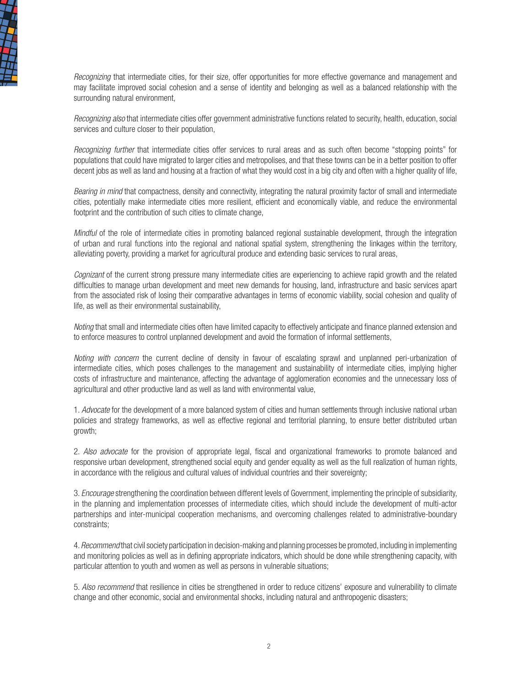

*Recognizing* that intermediate cities, for their size, offer opportunities for more effective governance and management and may facilitate improved social cohesion and a sense of identity and belonging as well as a balanced relationship with the surrounding natural environment,

*Recognizing also* that intermediate cities offer government administrative functions related to security, health, education, social services and culture closer to their population,

*Recognizing further* that intermediate cities offer services to rural areas and as such often become "stopping points" for populations that could have migrated to larger cities and metropolises, and that these towns can be in a better position to offer decent jobs as well as land and housing at a fraction of what they would cost in a big city and often with a higher quality of life,

*Bearing in mind* that compactness, density and connectivity, integrating the natural proximity factor of small and intermediate cities, potentially make intermediate cities more resilient, efficient and economically viable, and reduce the environmental footprint and the contribution of such cities to climate change,

*Mindful* of the role of intermediate cities in promoting balanced regional sustainable development, through the integration of urban and rural functions into the regional and national spatial system, strengthening the linkages within the territory, alleviating poverty, providing a market for agricultural produce and extending basic services to rural areas,

*Cognizant* of the current strong pressure many intermediate cities are experiencing to achieve rapid growth and the related difficulties to manage urban development and meet new demands for housing, land, infrastructure and basic services apart from the associated risk of losing their comparative advantages in terms of economic viability, social cohesion and quality of life, as well as their environmental sustainability,

*Noting* that small and intermediate cities often have limited capacity to effectively anticipate and finance planned extension and to enforce measures to control unplanned development and avoid the formation of informal settlements,

*Noting with concern* the current decline of density in favour of escalating sprawl and unplanned peri-urbanization of intermediate cities, which poses challenges to the management and sustainability of intermediate cities, implying higher costs of infrastructure and maintenance, affecting the advantage of agglomeration economies and the unnecessary loss of agricultural and other productive land as well as land with environmental value,

1. *Advocate* for the development of a more balanced system of cities and human settlements through inclusive national urban policies and strategy frameworks, as well as effective regional and territorial planning, to ensure better distributed urban growth;

2. *Also advocate* for the provision of appropriate legal, fiscal and organizational frameworks to promote balanced and responsive urban development, strengthened social equity and gender equality as well as the full realization of human rights, in accordance with the religious and cultural values of individual countries and their sovereignty;

3. *Encourage* strengthening the coordination between different levels of Government, implementing the principle of subsidiarity, in the planning and implementation processes of intermediate cities, which should include the development of multi-actor partnerships and inter-municipal cooperation mechanisms, and overcoming challenges related to administrative-boundary constraints;

4. *Recommend* that civil society participation in decision-making and planning processes be promoted, including in implementing and monitoring policies as well as in defining appropriate indicators, which should be done while strengthening capacity, with particular attention to youth and women as well as persons in vulnerable situations;

5. *Also recommend* that resilience in cities be strengthened in order to reduce citizens' exposure and vulnerability to climate change and other economic, social and environmental shocks, including natural and anthropogenic disasters;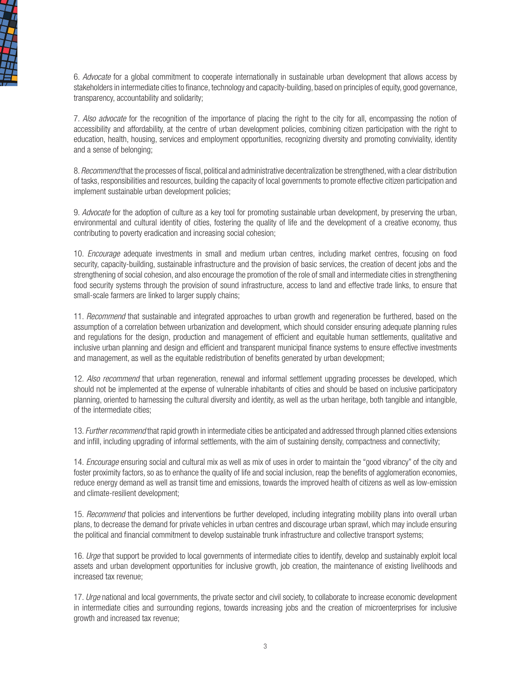

6. *Advocate* for a global commitment to cooperate internationally in sustainable urban development that allows access by stakeholders in intermediate cities to finance, technology and capacity-building, based on principles of equity, good governance, transparency, accountability and solidarity;

7. *Also advocate* for the recognition of the importance of placing the right to the city for all, encompassing the notion of accessibility and affordability, at the centre of urban development policies, combining citizen participation with the right to education, health, housing, services and employment opportunities, recognizing diversity and promoting conviviality, identity and a sense of belonging;

8. *Recommend* that the processes of fiscal, political and administrative decentralization be strengthened, with a clear distribution of tasks, responsibilities and resources, building the capacity of local governments to promote effective citizen participation and implement sustainable urban development policies;

9. *Advocate* for the adoption of culture as a key tool for promoting sustainable urban development, by preserving the urban, environmental and cultural identity of cities, fostering the quality of life and the development of a creative economy, thus contributing to poverty eradication and increasing social cohesion;

10. *Encourage* adequate investments in small and medium urban centres, including market centres, focusing on food security, capacity-building, sustainable infrastructure and the provision of basic services, the creation of decent jobs and the strengthening of social cohesion, and also encourage the promotion of the role of small and intermediate cities in strengthening food security systems through the provision of sound infrastructure, access to land and effective trade links, to ensure that small-scale farmers are linked to larger supply chains;

11. *Recommend* that sustainable and integrated approaches to urban growth and regeneration be furthered, based on the assumption of a correlation between urbanization and development, which should consider ensuring adequate planning rules and regulations for the design, production and management of efficient and equitable human settlements, qualitative and inclusive urban planning and design and efficient and transparent municipal finance systems to ensure effective investments and management, as well as the equitable redistribution of benefits generated by urban development;

12. *Also recommend* that urban regeneration, renewal and informal settlement upgrading processes be developed, which should not be implemented at the expense of vulnerable inhabitants of cities and should be based on inclusive participatory planning, oriented to harnessing the cultural diversity and identity, as well as the urban heritage, both tangible and intangible, of the intermediate cities;

13. *Further recommend* that rapid growth in intermediate cities be anticipated and addressed through planned cities extensions and infill, including upgrading of informal settlements, with the aim of sustaining density, compactness and connectivity;

14. *Encourage* ensuring social and cultural mix as well as mix of uses in order to maintain the "good vibrancy" of the city and foster proximity factors, so as to enhance the quality of life and social inclusion, reap the benefits of agglomeration economies, reduce energy demand as well as transit time and emissions, towards the improved health of citizens as well as low-emission and climate-resilient development;

15. *Recommend* that policies and interventions be further developed, including integrating mobility plans into overall urban plans, to decrease the demand for private vehicles in urban centres and discourage urban sprawl, which may include ensuring the political and financial commitment to develop sustainable trunk infrastructure and collective transport systems;

16. *Urge* that support be provided to local governments of intermediate cities to identify, develop and sustainably exploit local assets and urban development opportunities for inclusive growth, job creation, the maintenance of existing livelihoods and increased tax revenue;

17. *Urge* national and local governments, the private sector and civil society, to collaborate to increase economic development in intermediate cities and surrounding regions, towards increasing jobs and the creation of microenterprises for inclusive growth and increased tax revenue;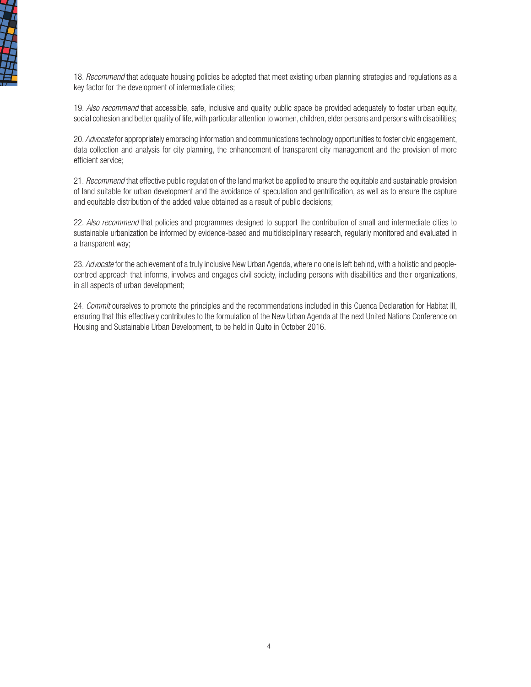

18. *Recommend* that adequate housing policies be adopted that meet existing urban planning strategies and regulations as a key factor for the development of intermediate cities;

19. *Also recommend* that accessible, safe, inclusive and quality public space be provided adequately to foster urban equity, social cohesion and better quality of life, with particular attention to women, children, elder persons and persons with disabilities;

20. *Advocate* for appropriately embracing information and communications technology opportunities to foster civic engagement, data collection and analysis for city planning, the enhancement of transparent city management and the provision of more efficient service;

21. *Recommend* that effective public regulation of the land market be applied to ensure the equitable and sustainable provision of land suitable for urban development and the avoidance of speculation and gentrification, as well as to ensure the capture and equitable distribution of the added value obtained as a result of public decisions;

22. *Also recommend* that policies and programmes designed to support the contribution of small and intermediate cities to sustainable urbanization be informed by evidence-based and multidisciplinary research, regularly monitored and evaluated in a transparent way;

23. *Advocate* for the achievement of a truly inclusive New Urban Agenda, where no one is left behind, with a holistic and peoplecentred approach that informs, involves and engages civil society, including persons with disabilities and their organizations, in all aspects of urban development;

24. *Commit* ourselves to promote the principles and the recommendations included in this Cuenca Declaration for Habitat III, ensuring that this effectively contributes to the formulation of the New Urban Agenda at the next United Nations Conference on Housing and Sustainable Urban Development, to be held in Quito in October 2016.